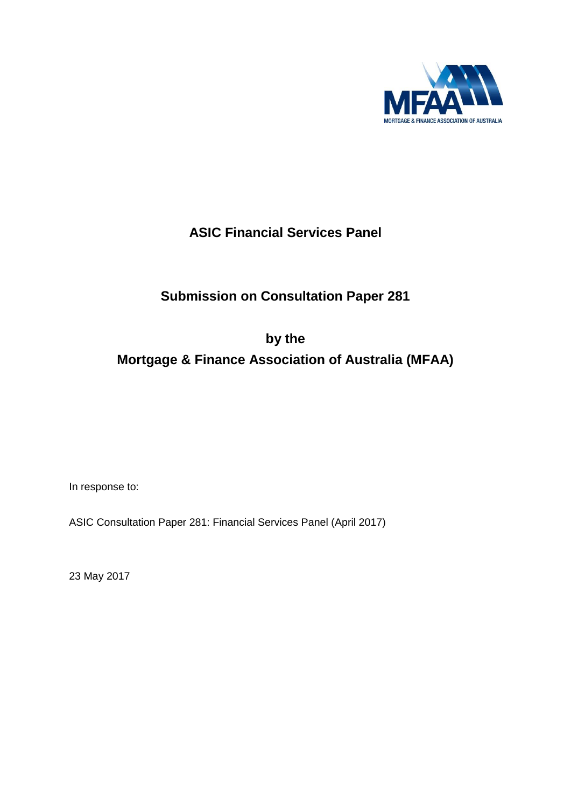

## **ASIC Financial Services Panel**

# **Submission on Consultation Paper 281**

**by the** 

## **Mortgage & Finance Association of Australia (MFAA)**

In response to:

ASIC Consultation Paper 281: Financial Services Panel (April 2017)

23 May 2017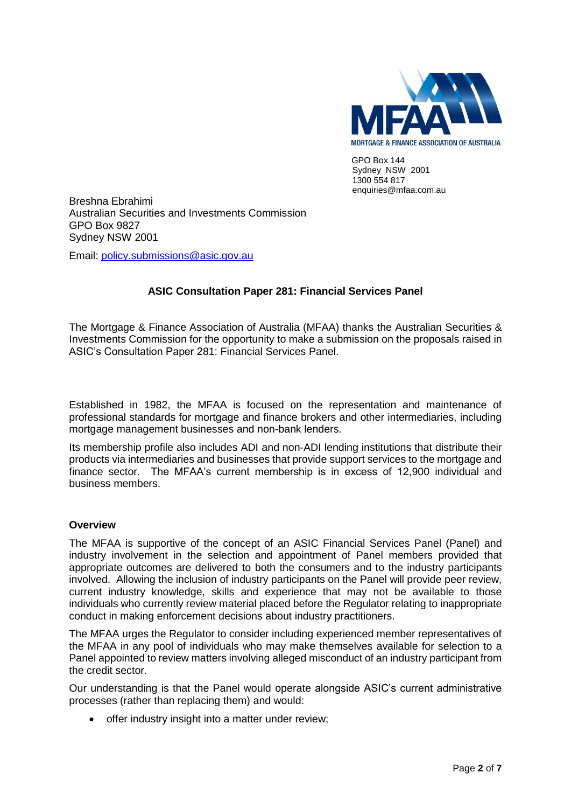

 $GPO$  Box  $144$ Sydney NSW 2001 1300 554 817 enquiries@mfaa.com.au

Breshna Ebrahimi Australian Securities and Investments Commission GPO Box 9827 Sydney NSW 2001

Email: [policy.submissions@asic.gov.au](mailto:policy.submissions@asic.gov.au)

## **ASIC Consultation Paper 281: Financial Services Panel**

The Mortgage & Finance Association of Australia (MFAA) thanks the Australian Securities & Investments Commission for the opportunity to make a submission on the proposals raised in ASIC's Consultation Paper 281: Financial Services Panel.

Established in 1982, the MFAA is focused on the representation and maintenance of professional standards for mortgage and finance brokers and other intermediaries, including mortgage management businesses and non-bank lenders.

Its membership profile also includes ADI and non-ADI lending institutions that distribute their products via intermediaries and businesses that provide support services to the mortgage and finance sector. The MFAA's current membership is in excess of 12,900 individual and business members.

## **Overview**

The MFAA is supportive of the concept of an ASIC Financial Services Panel (Panel) and industry involvement in the selection and appointment of Panel members provided that appropriate outcomes are delivered to both the consumers and to the industry participants involved. Allowing the inclusion of industry participants on the Panel will provide peer review, current industry knowledge, skills and experience that may not be available to those individuals who currently review material placed before the Regulator relating to inappropriate conduct in making enforcement decisions about industry practitioners.

The MFAA urges the Regulator to consider including experienced member representatives of the MFAA in any pool of individuals who may make themselves available for selection to a Panel appointed to review matters involving alleged misconduct of an industry participant from the credit sector.

Our understanding is that the Panel would operate alongside ASIC's current administrative processes (rather than replacing them) and would:

• offer industry insight into a matter under review;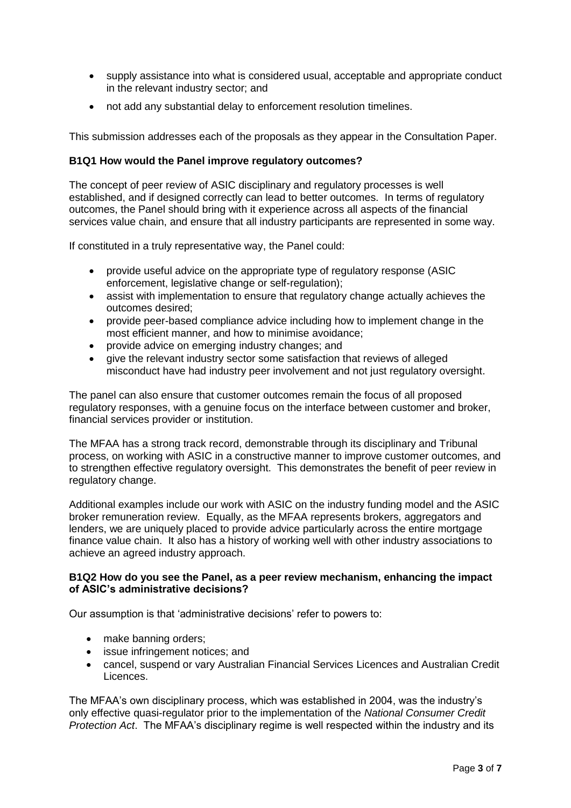- supply assistance into what is considered usual, acceptable and appropriate conduct in the relevant industry sector; and
- not add any substantial delay to enforcement resolution timelines.

This submission addresses each of the proposals as they appear in the Consultation Paper.

#### **B1Q1 How would the Panel improve regulatory outcomes?**

The concept of peer review of ASIC disciplinary and regulatory processes is well established, and if designed correctly can lead to better outcomes. In terms of regulatory outcomes, the Panel should bring with it experience across all aspects of the financial services value chain, and ensure that all industry participants are represented in some way.

If constituted in a truly representative way, the Panel could:

- provide useful advice on the appropriate type of regulatory response (ASIC enforcement, legislative change or self-regulation);
- assist with implementation to ensure that regulatory change actually achieves the outcomes desired;
- provide peer-based compliance advice including how to implement change in the most efficient manner, and how to minimise avoidance;
- provide advice on emerging industry changes; and
- give the relevant industry sector some satisfaction that reviews of alleged misconduct have had industry peer involvement and not just regulatory oversight.

The panel can also ensure that customer outcomes remain the focus of all proposed regulatory responses, with a genuine focus on the interface between customer and broker, financial services provider or institution.

The MFAA has a strong track record, demonstrable through its disciplinary and Tribunal process, on working with ASIC in a constructive manner to improve customer outcomes, and to strengthen effective regulatory oversight. This demonstrates the benefit of peer review in regulatory change.

Additional examples include our work with ASIC on the industry funding model and the ASIC broker remuneration review. Equally, as the MFAA represents brokers, aggregators and lenders, we are uniquely placed to provide advice particularly across the entire mortgage finance value chain. It also has a history of working well with other industry associations to achieve an agreed industry approach.

#### **B1Q2 How do you see the Panel, as a peer review mechanism, enhancing the impact of ASIC's administrative decisions?**

Our assumption is that 'administrative decisions' refer to powers to:

- make banning orders;
- issue infringement notices; and
- cancel, suspend or vary Australian Financial Services Licences and Australian Credit Licences.

The MFAA's own disciplinary process, which was established in 2004, was the industry's only effective quasi-regulator prior to the implementation of the *National Consumer Credit Protection Act*. The MFAA's disciplinary regime is well respected within the industry and its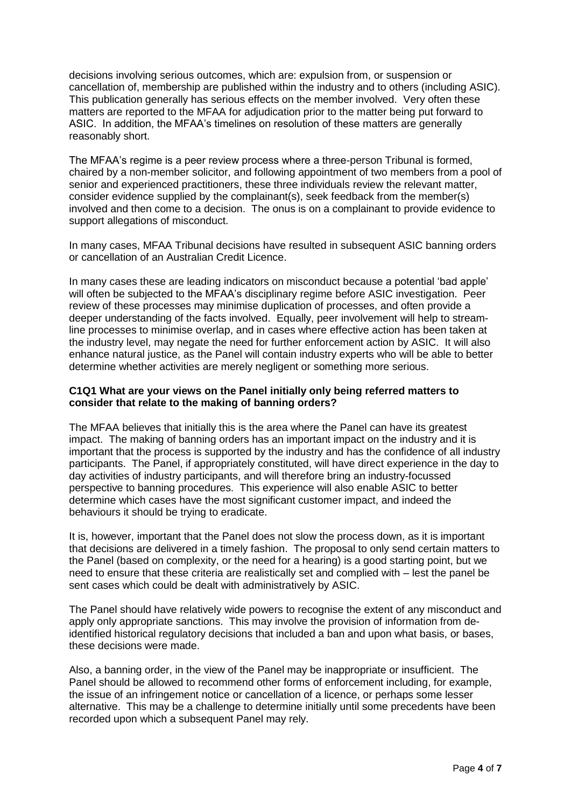decisions involving serious outcomes, which are: expulsion from, or suspension or cancellation of, membership are published within the industry and to others (including ASIC). This publication generally has serious effects on the member involved. Very often these matters are reported to the MFAA for adjudication prior to the matter being put forward to ASIC. In addition, the MFAA's timelines on resolution of these matters are generally reasonably short.

The MFAA's regime is a peer review process where a three-person Tribunal is formed, chaired by a non-member solicitor, and following appointment of two members from a pool of senior and experienced practitioners, these three individuals review the relevant matter, consider evidence supplied by the complainant(s), seek feedback from the member(s) involved and then come to a decision. The onus is on a complainant to provide evidence to support allegations of misconduct.

In many cases, MFAA Tribunal decisions have resulted in subsequent ASIC banning orders or cancellation of an Australian Credit Licence.

In many cases these are leading indicators on misconduct because a potential 'bad apple' will often be subjected to the MFAA's disciplinary regime before ASIC investigation. Peer review of these processes may minimise duplication of processes, and often provide a deeper understanding of the facts involved. Equally, peer involvement will help to streamline processes to minimise overlap, and in cases where effective action has been taken at the industry level, may negate the need for further enforcement action by ASIC. It will also enhance natural justice, as the Panel will contain industry experts who will be able to better determine whether activities are merely negligent or something more serious.

#### **C1Q1 What are your views on the Panel initially only being referred matters to consider that relate to the making of banning orders?**

The MFAA believes that initially this is the area where the Panel can have its greatest impact. The making of banning orders has an important impact on the industry and it is important that the process is supported by the industry and has the confidence of all industry participants. The Panel, if appropriately constituted, will have direct experience in the day to day activities of industry participants, and will therefore bring an industry-focussed perspective to banning procedures. This experience will also enable ASIC to better determine which cases have the most significant customer impact, and indeed the behaviours it should be trying to eradicate.

It is, however, important that the Panel does not slow the process down, as it is important that decisions are delivered in a timely fashion. The proposal to only send certain matters to the Panel (based on complexity, or the need for a hearing) is a good starting point, but we need to ensure that these criteria are realistically set and complied with – lest the panel be sent cases which could be dealt with administratively by ASIC.

The Panel should have relatively wide powers to recognise the extent of any misconduct and apply only appropriate sanctions. This may involve the provision of information from deidentified historical regulatory decisions that included a ban and upon what basis, or bases, these decisions were made.

Also, a banning order, in the view of the Panel may be inappropriate or insufficient. The Panel should be allowed to recommend other forms of enforcement including, for example, the issue of an infringement notice or cancellation of a licence, or perhaps some lesser alternative. This may be a challenge to determine initially until some precedents have been recorded upon which a subsequent Panel may rely.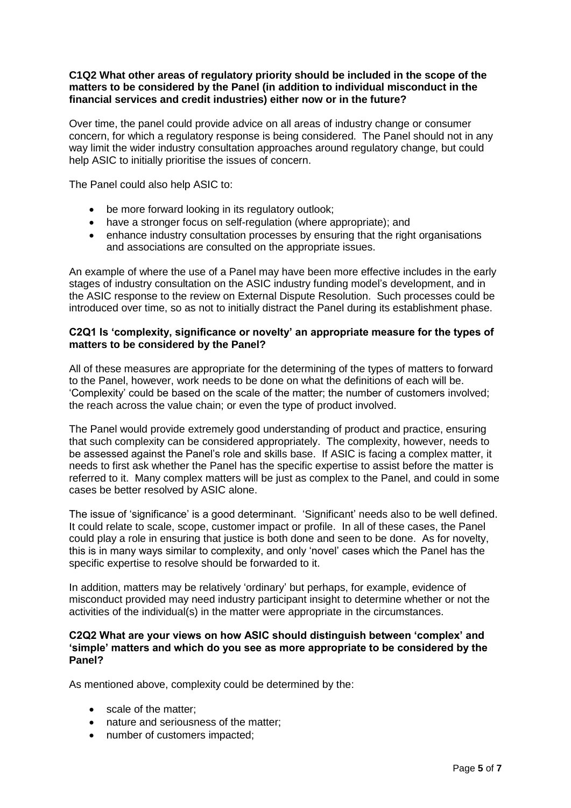#### **C1Q2 What other areas of regulatory priority should be included in the scope of the matters to be considered by the Panel (in addition to individual misconduct in the financial services and credit industries) either now or in the future?**

Over time, the panel could provide advice on all areas of industry change or consumer concern, for which a regulatory response is being considered. The Panel should not in any way limit the wider industry consultation approaches around regulatory change, but could help ASIC to initially prioritise the issues of concern.

The Panel could also help ASIC to:

- be more forward looking in its regulatory outlook;
- have a stronger focus on self-regulation (where appropriate); and
- enhance industry consultation processes by ensuring that the right organisations and associations are consulted on the appropriate issues.

An example of where the use of a Panel may have been more effective includes in the early stages of industry consultation on the ASIC industry funding model's development, and in the ASIC response to the review on External Dispute Resolution. Such processes could be introduced over time, so as not to initially distract the Panel during its establishment phase.

#### **C2Q1 Is 'complexity, significance or novelty' an appropriate measure for the types of matters to be considered by the Panel?**

All of these measures are appropriate for the determining of the types of matters to forward to the Panel, however, work needs to be done on what the definitions of each will be. 'Complexity' could be based on the scale of the matter; the number of customers involved; the reach across the value chain; or even the type of product involved.

The Panel would provide extremely good understanding of product and practice, ensuring that such complexity can be considered appropriately. The complexity, however, needs to be assessed against the Panel's role and skills base. If ASIC is facing a complex matter, it needs to first ask whether the Panel has the specific expertise to assist before the matter is referred to it. Many complex matters will be just as complex to the Panel, and could in some cases be better resolved by ASIC alone.

The issue of 'significance' is a good determinant. 'Significant' needs also to be well defined. It could relate to scale, scope, customer impact or profile. In all of these cases, the Panel could play a role in ensuring that justice is both done and seen to be done. As for novelty, this is in many ways similar to complexity, and only 'novel' cases which the Panel has the specific expertise to resolve should be forwarded to it.

In addition, matters may be relatively 'ordinary' but perhaps, for example, evidence of misconduct provided may need industry participant insight to determine whether or not the activities of the individual(s) in the matter were appropriate in the circumstances.

#### **C2Q2 What are your views on how ASIC should distinguish between 'complex' and 'simple' matters and which do you see as more appropriate to be considered by the Panel?**

As mentioned above, complexity could be determined by the:

- scale of the matter:
- nature and seriousness of the matter;
- number of customers impacted;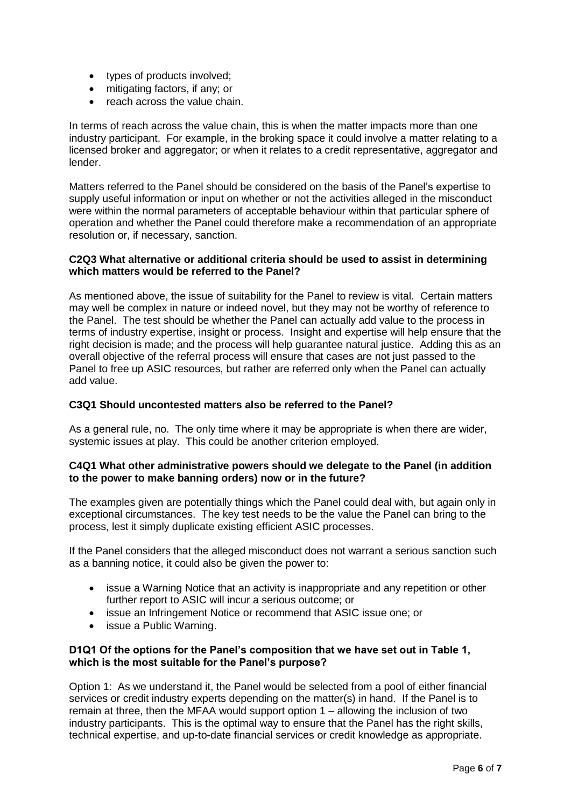- types of products involved;
- mitigating factors, if any; or
- reach across the value chain.

In terms of reach across the value chain, this is when the matter impacts more than one industry participant. For example, in the broking space it could involve a matter relating to a licensed broker and aggregator; or when it relates to a credit representative, aggregator and lender.

Matters referred to the Panel should be considered on the basis of the Panel's expertise to supply useful information or input on whether or not the activities alleged in the misconduct were within the normal parameters of acceptable behaviour within that particular sphere of operation and whether the Panel could therefore make a recommendation of an appropriate resolution or, if necessary, sanction.

#### **C2Q3 What alternative or additional criteria should be used to assist in determining which matters would be referred to the Panel?**

As mentioned above, the issue of suitability for the Panel to review is vital. Certain matters may well be complex in nature or indeed novel, but they may not be worthy of reference to the Panel. The test should be whether the Panel can actually add value to the process in terms of industry expertise, insight or process. Insight and expertise will help ensure that the right decision is made; and the process will help guarantee natural justice. Adding this as an overall objective of the referral process will ensure that cases are not just passed to the Panel to free up ASIC resources, but rather are referred only when the Panel can actually add value.

## **C3Q1 Should uncontested matters also be referred to the Panel?**

As a general rule, no. The only time where it may be appropriate is when there are wider, systemic issues at play. This could be another criterion employed.

#### **C4Q1 What other administrative powers should we delegate to the Panel (in addition to the power to make banning orders) now or in the future?**

The examples given are potentially things which the Panel could deal with, but again only in exceptional circumstances. The key test needs to be the value the Panel can bring to the process, lest it simply duplicate existing efficient ASIC processes.

If the Panel considers that the alleged misconduct does not warrant a serious sanction such as a banning notice, it could also be given the power to:

- issue a Warning Notice that an activity is inappropriate and any repetition or other further report to ASIC will incur a serious outcome; or
- issue an Infringement Notice or recommend that ASIC issue one; or
- issue a Public Warning.

## **D1Q1 Of the options for the Panel's composition that we have set out in Table 1, which is the most suitable for the Panel's purpose?**

Option 1: As we understand it, the Panel would be selected from a pool of either financial services or credit industry experts depending on the matter(s) in hand. If the Panel is to remain at three, then the MFAA would support option 1 – allowing the inclusion of two industry participants. This is the optimal way to ensure that the Panel has the right skills, technical expertise, and up-to-date financial services or credit knowledge as appropriate.